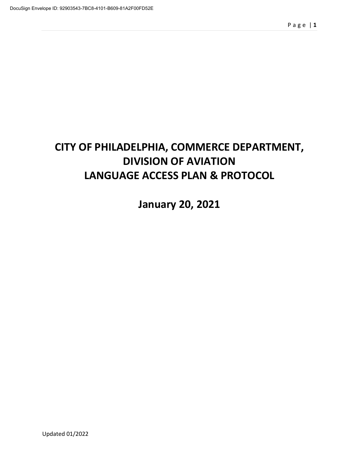# **CITY OF PHILADELPHIA, COMMERCE DEPARTMENT, DIVISION OF AVIATION LANGUAGE ACCESS PLAN & PROTOCOL**

**January 20, 2021**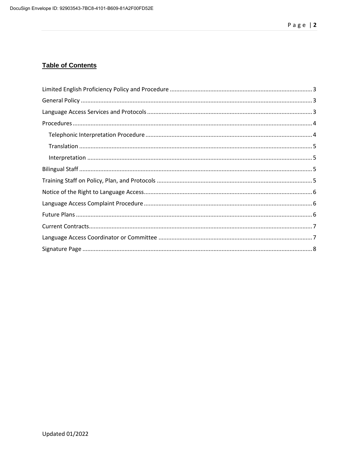# **Table of Contents**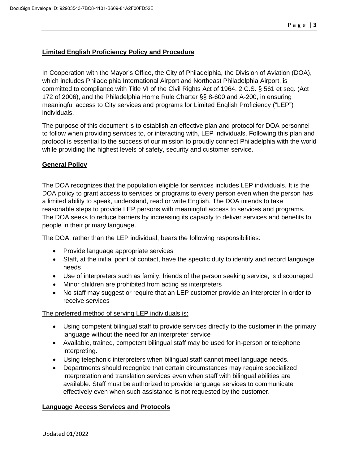## **Limited English Proficiency Policy and Procedure**

In Cooperation with the Mayor's Office, the City of Philadelphia, the Division of Aviation (DOA), which includes Philadelphia International Airport and Northeast Philadelphia Airport, is committed to compliance with Title VI of the Civil Rights Act of 1964, 2 C.S. § 561 et seq. (Act 172 of 2006), and the Philadelphia Home Rule Charter §§ 8-600 and A-200, in ensuring meaningful access to City services and programs for Limited English Proficiency ("LEP") individuals.

The purpose of this document is to establish an effective plan and protocol for DOA personnel to follow when providing services to, or interacting with, LEP individuals. Following this plan and protocol is essential to the success of our mission to proudly connect Philadelphia with the world while providing the highest levels of safety, security and customer service.

## **General Policy**

The DOA recognizes that the population eligible for services includes LEP individuals. It is the DOA policy to grant access to services or programs to every person even when the person has a limited ability to speak, understand, read or write English. The DOA intends to take reasonable steps to provide LEP persons with meaningful access to services and programs. The DOA seeks to reduce barriers by increasing its capacity to deliver services and benefits to people in their primary language.

The DOA, rather than the LEP individual, bears the following responsibilities:

- Provide language appropriate services
- Staff, at the initial point of contact, have the specific duty to identify and record language needs
- Use of interpreters such as family, friends of the person seeking service, is discouraged
- Minor children are prohibited from acting as interpreters
- No staff may suggest or require that an LEP customer provide an interpreter in order to receive services

The preferred method of serving LEP individuals is:

- Using competent bilingual staff to provide services directly to the customer in the primary language without the need for an interpreter service
- Available, trained, competent bilingual staff may be used for in-person or telephone interpreting.
- Using telephonic interpreters when bilingual staff cannot meet language needs.
- Departments should recognize that certain circumstances may require specialized interpretation and translation services even when staff with bilingual abilities are available. Staff must be authorized to provide language services to communicate effectively even when such assistance is not requested by the customer.

## **Language Access Services and Protocols**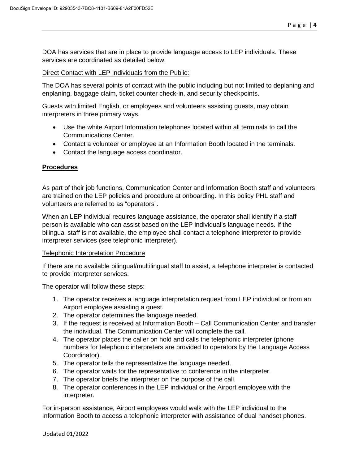DOA has services that are in place to provide language access to LEP individuals. These services are coordinated as detailed below.

#### Direct Contact with LEP Individuals from the Public:

The DOA has several points of contact with the public including but not limited to deplaning and enplaning, baggage claim, ticket counter check-in, and security checkpoints.

Guests with limited English, or employees and volunteers assisting guests, may obtain interpreters in three primary ways.

- Use the white Airport Information telephones located within all terminals to call the Communications Center.
- Contact a volunteer or employee at an Information Booth located in the terminals.
- Contact the language access coordinator.

## **Procedures**

As part of their job functions, Communication Center and Information Booth staff and volunteers are trained on the LEP policies and procedure at onboarding. In this policy PHL staff and volunteers are referred to as "operators".

When an LEP individual requires language assistance, the operator shall identify if a staff person is available who can assist based on the LEP individual's language needs. If the bilingual staff is not available, the employee shall contact a telephone interpreter to provide interpreter services (see telephonic interpreter).

#### Telephonic Interpretation Procedure

If there are no available bilingual/multilingual staff to assist, a telephone interpreter is contacted to provide interpreter services.

The operator will follow these steps:

- 1. The operator receives a language interpretation request from LEP individual or from an Airport employee assisting a guest.
- 2. The operator determines the language needed.
- 3. If the request is received at Information Booth Call Communication Center and transfer the individual. The Communication Center will complete the call.
- 4. The operator places the caller on hold and calls the telephonic interpreter (phone numbers for telephonic interpreters are provided to operators by the Language Access Coordinator).
- 5. The operator tells the representative the language needed.
- 6. The operator waits for the representative to conference in the interpreter.
- 7. The operator briefs the interpreter on the purpose of the call.
- 8. The operator conferences in the LEP individual or the Airport employee with the interpreter.

For in-person assistance, Airport employees would walk with the LEP individual to the Information Booth to access a telephonic interpreter with assistance of dual handset phones.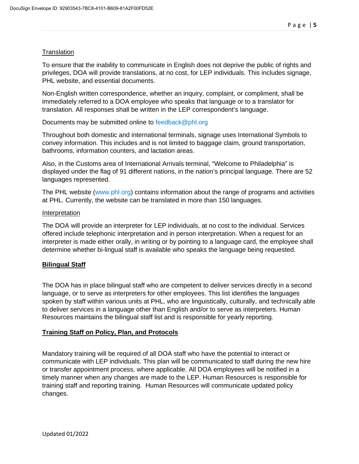#### **Translation**

To ensure that the inability to communicate in English does not deprive the public of rights and privileges, DOA will provide translations, at no cost, for LEP individuals. This includes signage, PHL website, and essential documents.

Non-English written correspondence, whether an inquiry, complaint, or compliment, shall be immediately referred to a DOA employee who speaks that language or to a translator for translation. All responses shall be written in the LEP correspondent's language.

Documents may be submitted online to feedback@phl.org

Throughout both domestic and international terminals, signage uses International Symbols to convey information. This includes and is not limited to baggage claim, ground transportation, bathrooms, information counters, and lactation areas.

Also, in the Customs area of International Arrivals terminal, "Welcome to Philadelphia" is displayed under the flag of 91 different nations, in the nation's principal language. There are 52 languages represented.

The PHL website (www.phl.org) contains information about the range of programs and activities at PHL. Currently, the website can be translated in more than 150 languages.

#### Interpretation

The DOA will provide an interpreter for LEP individuals, at no cost to the individual. Services offered include telephonic interpretation and in person interpretation. When a request for an interpreter is made either orally, in writing or by pointing to a language card, the employee shall determine whether bi-lingual staff is available who speaks the language being requested.

## **Bilingual Staff**

The DOA has in place bilingual staff who are competent to deliver services directly in a second language, or to serve as interpreters for other employees. This list identifies the languages spoken by staff within various units at PHL, who are linguistically, culturally, and technically able to deliver services in a language other than English and/or to serve as interpreters. Human Resources maintains the bilingual staff list and is responsible for yearly reporting.

## **Training Staff on Policy, Plan, and Protocols**

Mandatory training will be required of all DOA staff who have the potential to interact or communicate with LEP individuals. This plan will be communicated to staff during the new hire or transfer appointment process, where applicable. All DOA employees will be notified in a timely manner when any changes are made to the LEP. Human Resources is responsible for training staff and reporting training. Human Resources will communicate updated policy changes.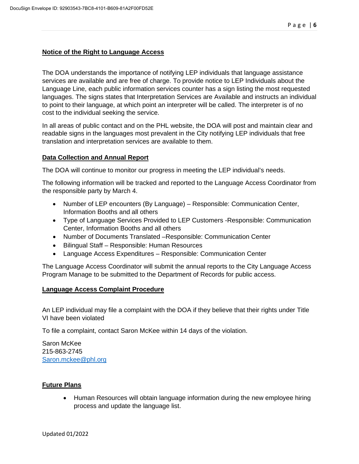#### **Notice of the Right to Language Access**

The DOA understands the importance of notifying LEP individuals that language assistance services are available and are free of charge. To provide notice to LEP Individuals about the Language Line, each public information services counter has a sign listing the most requested languages. The signs states that Interpretation Services are Available and instructs an individual to point to their language, at which point an interpreter will be called. The interpreter is of no cost to the individual seeking the service.

In all areas of public contact and on the PHL website, the DOA will post and maintain clear and readable signs in the languages most prevalent in the City notifying LEP individuals that free translation and interpretation services are available to them.

#### **Data Collection and Annual Report**

The DOA will continue to monitor our progress in meeting the LEP individual's needs.

The following information will be tracked and reported to the Language Access Coordinator from the responsible party by March 4.

- Number of LEP encounters (By Language) Responsible: Communication Center, Information Booths and all others
- Type of Language Services Provided to LEP Customers -Responsible: Communication Center, Information Booths and all others
- Number of Documents Translated –Responsible: Communication Center
- Bilingual Staff Responsible: Human Resources
- Language Access Expenditures Responsible: Communication Center

The Language Access Coordinator will submit the annual reports to the City Language Access Program Manage to be submitted to the Department of Records for public access.

#### **Language Access Complaint Procedure**

An LEP individual may file a complaint with the DOA if they believe that their rights under Title VI have been violated

To file a complaint, contact Saron McKee within 14 days of the violation.

Saron McKee 215-863-2745 [Saron.mckee@phl.org](mailto:Saron.mckee@phl.org)

## **Future Plans**

• Human Resources will obtain language information during the new employee hiring process and update the language list.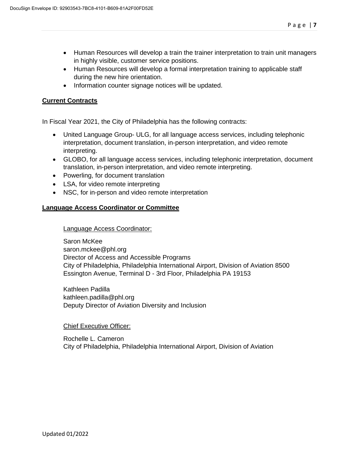- Human Resources will develop a train the trainer interpretation to train unit managers in highly visible, customer service positions.
- Human Resources will develop a formal interpretation training to applicable staff during the new hire orientation.
- Information counter signage notices will be updated.

## **Current Contracts**

In Fiscal Year 2021, the City of Philadelphia has the following contracts:

- United Language Group- ULG, for all language access services, including telephonic interpretation, document translation, in-person interpretation, and video remote interpreting.
- GLOBO, for all language access services, including telephonic interpretation, document translation, in-person interpretation, and video remote interpreting.
- Powerling, for document translation
- LSA, for video remote interpreting
- NSC, for in-person and video remote interpretation

## **Language Access Coordinator or Committee**

Language Access Coordinator:

Saron McKee saron.mckee@phl.org Director of Access and Accessible Programs City of Philadelphia, Philadelphia International Airport, Division of Aviation 8500 Essington Avenue, Terminal D - 3rd Floor, Philadelphia PA 19153

Kathleen Padilla kathleen.padilla@phl.org Deputy Director of Aviation Diversity and Inclusion

#### Chief Executive Officer:

Rochelle L. Cameron City of Philadelphia, Philadelphia International Airport, Division of Aviation